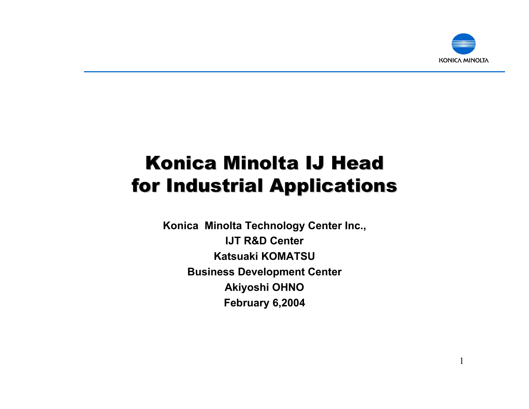

1

### Konica Minolta IJ Head for Industrial Applications

**Konica Minolta Technology Center Inc., IJT R&D CenterKatsuaki KOMATSUBusiness Development Center Akiyoshi OHNO February 6,2004**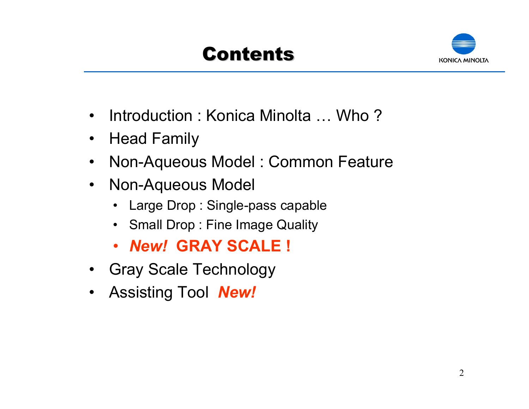# Contents



- •Introduction : Konica Minolta … Who ?
- $\bullet$ Head Family
- $\bullet$ Non-Aqueous Model : Common Feature
- $\bullet$  Non-Aqueous Model
	- •Large Drop : Single-pass capable
	- $\bullet$ Small Drop : Fine Image Quality
	- •*New!* **GRAY SCALE !**
- Gray Scale Technology
- $\bullet$ Assisting Tool *New!*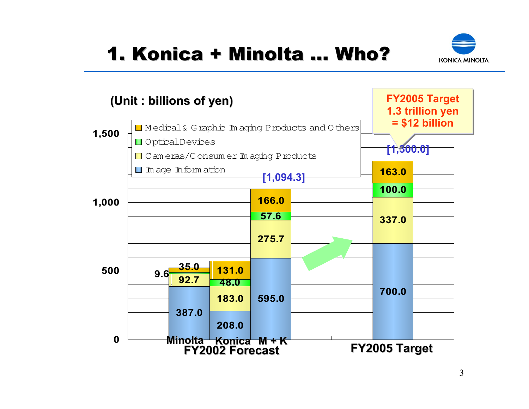# 1. Konica + Minolta … Who?



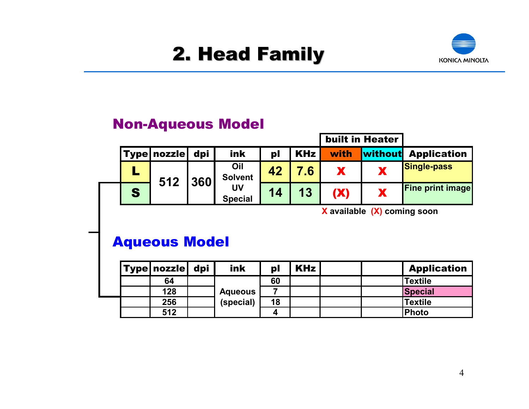## 2. Head Family 2. Head Family



#### Non-Aqueous Model

|   |                        |     |                                               |    |                 |                  | <b>built in Heater</b>              |                            |
|---|------------------------|-----|-----------------------------------------------|----|-----------------|------------------|-------------------------------------|----------------------------|
|   | <b>Type   nozzle  </b> | dpi | ink                                           | pl | <b>KHz</b>      | with             |                                     | <b>Without</b> Application |
|   | 512                    | 360 | Oil<br><b>Solvent</b><br>UV<br><b>Special</b> | 42 | .6 <sub>1</sub> |                  |                                     | <b>Single-pass</b>         |
| S |                        |     |                                               | 14 | 13              |                  |                                     | <b>Fine print image</b>    |
|   |                        |     |                                               |    |                 | <br>$\mathbf{v}$ | $\sqrt{1 - \sqrt{1 - \frac{1}{2}}}$ |                            |

**X available (X) coming soon**

#### Aqueous Model

|  | <b>Type nozzle</b> | dpi | ink                         | pl | <b>KHz</b> |  | <b>Application</b> |
|--|--------------------|-----|-----------------------------|----|------------|--|--------------------|
|  | 64                 |     |                             | 60 |            |  | Textile            |
|  | 128                |     | <b>Aqueous</b><br>(special) |    |            |  | <b>Special</b>     |
|  | 256                |     |                             | 18 |            |  | <b>Textile</b>     |
|  | 512                |     |                             |    |            |  | Photo              |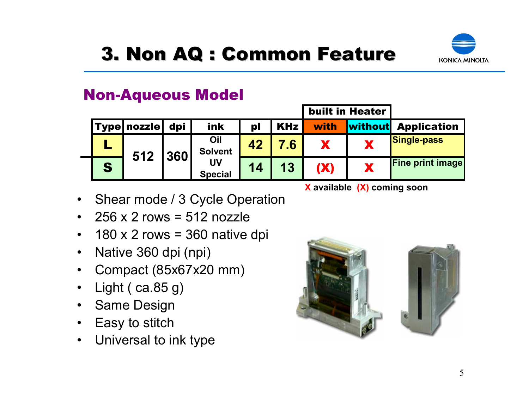

#### Non-Aqueous Model

|   |               |     |                                               |    | <b>built in Heater</b> |            |         |                         |
|---|---------------|-----|-----------------------------------------------|----|------------------------|------------|---------|-------------------------|
|   | 'Type  nozzle | dpi | ink                                           | pl | <b>KHz</b>             | with       | without | <b>Application</b>      |
|   | 512           | 360 | Oil<br><b>Solvent</b><br>UV<br><b>Special</b> | 42 | $^{\circ}$ .6          |            |         | <b>Single-pass</b>      |
| S |               |     |                                               | 14 | 13                     | <b>(X)</b> | Ж       | <b>Fine print image</b> |

**X available (X) coming soon**

built in Heater

- $\bullet$ Shear mode / 3 Cycle Operation
- $\bullet$ 256 x 2 rows = 512 nozzle
- $\bullet$  $180 \times 2$  rows = 360 native dpi
- $\bullet$ Native 360 dpi (npi)
- $\bullet$ Compact (85x67x20 mm)
- $\bullet$ Light ( ca.85 g)
- $\bullet$ Same Design
- $\bullet$ Easy to stitch
- $\bullet$ Universal to ink type

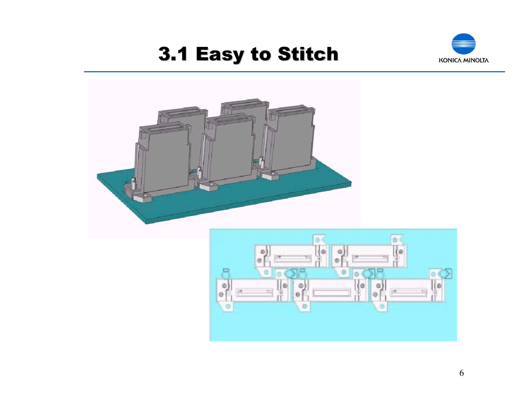## 3.1 Easy to Stitch 3.1 Easy to Stitch





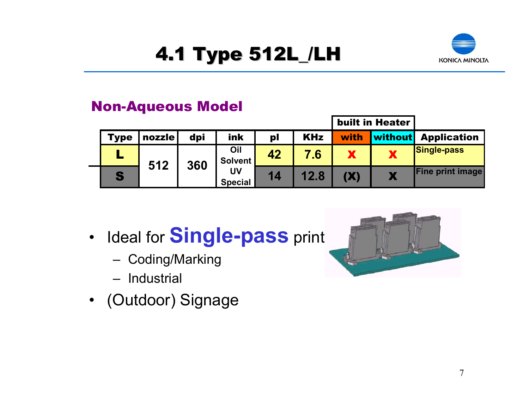# 4.1 Type 512L\_/LH 4.1 Type 512L\_/LH



#### Non-Aqueous Model

|             |        |     |                                               |    |            |            | <b>built in Heater</b> |                         |
|-------------|--------|-----|-----------------------------------------------|----|------------|------------|------------------------|-------------------------|
| <b>Type</b> | nozzle | dpi | ink                                           | pl | <b>KHz</b> | with/      | <b>without</b>         | <b>Application</b>      |
|             | 512    |     | Oil<br>Solvent<br>360<br>UV<br><b>Special</b> | 42 | 7.6        |            |                        | Single-pass             |
| S           |        |     |                                               | 14 | 12.8       | <b>(X)</b> |                        | <b>Fine print image</b> |

- • Ideal for **Single-pass** print
	- –Coding/Marking
	- Industrial
- (Outdoor) Signage

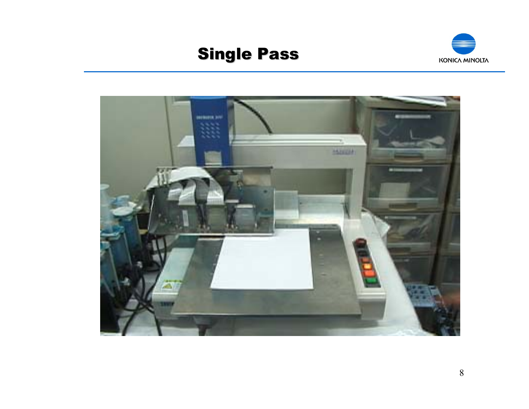### **Single Pass**



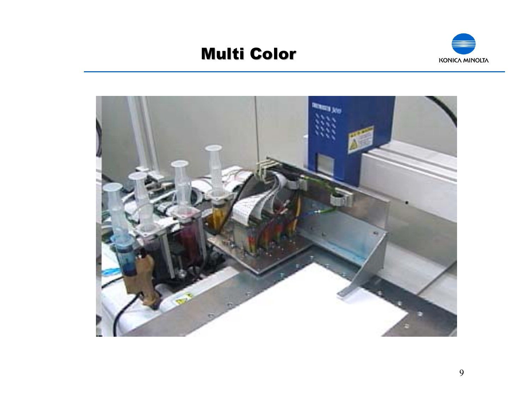### Multi Color



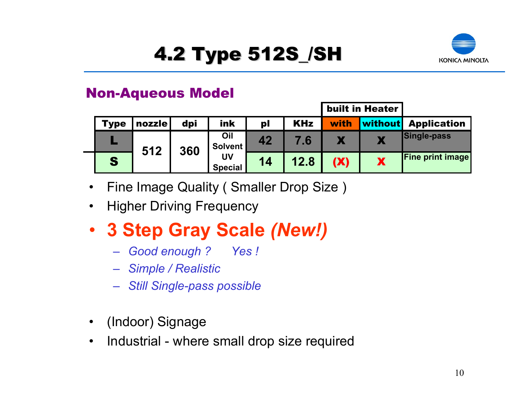



#### Non-Aqueous Model

|      |        |     |                       |                |            |      | <b>built in Heater</b> |                         |
|------|--------|-----|-----------------------|----------------|------------|------|------------------------|-------------------------|
| Type | nozzle | dpi | ink                   | p <sub>l</sub> | <b>KHz</b> | with | without                | <b>Application</b>      |
|      | 512    | 360 | Oil<br><b>Solvent</b> | 42             | 7.6        |      |                        | <b>Single-pass</b>      |
| S    |        |     | UV<br><b>Special</b>  | 14             | 12.8       | (X)  |                        | <b>Fine print image</b> |

- $\bullet$ Fine Image Quality ( Smaller Drop Size )
- •Higher Driving Frequency
- **3 Step Gray Scale** *(New!)*
	- *Good enough ? Yes !*
	- *Simple / Realistic*
	- *Still Single-pass possible*
- •(Indoor) Signage
- •Industrial - where small drop size required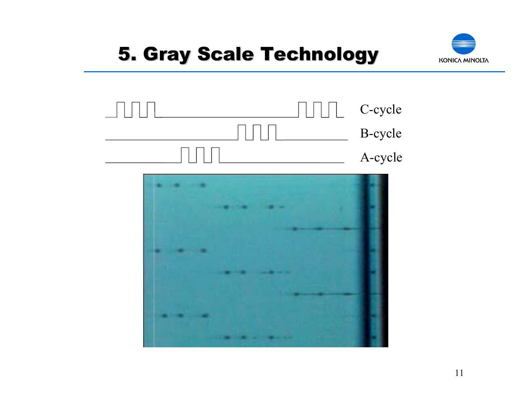## **5. Gray Scale Technology**





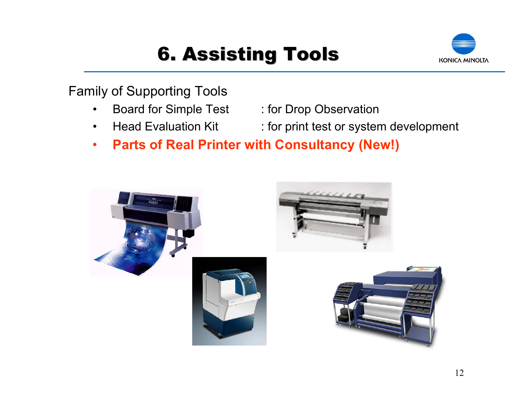# 6. Assisting Tools 6. Assisting Tools



Family of Supporting Tools

- •
- •
- Board for Simple Test : for Drop Observation
- Head Evaluation Kit : for print test or system development
- •**Parts of Real Printer with Consultancy (New!)**

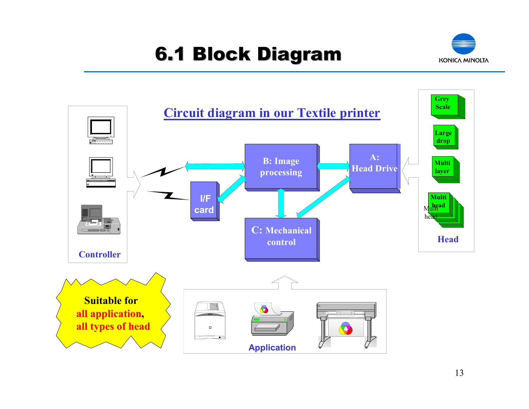# 6.1 Block Diagram 6.1 Block Diagram



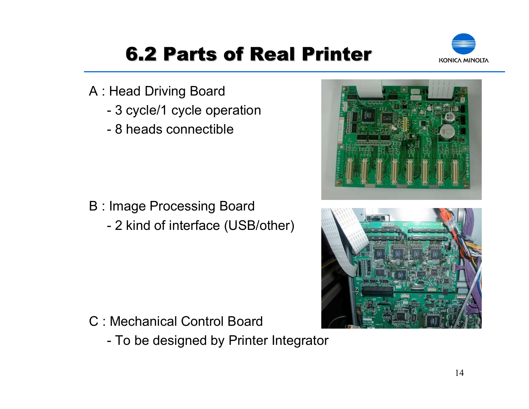

# **6.2 Parts of Real Printer**

- A : Head Driving Board
	- 3 cycle/1 cycle operation
	- 8 heads connectible

- B : Image Processing Board
	- 2 kind of interface (USB/other)

- C : Mechanical Control Board
	- To be designed by Printer Integrator